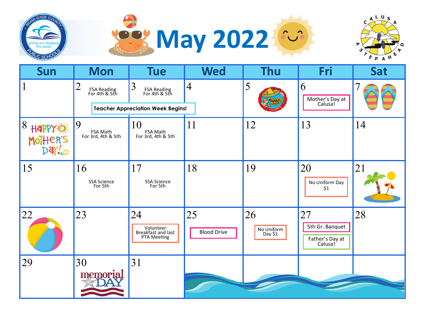





| Sun                    | <b>Mon</b>                                     | <b>Tue</b>                                           | <b>Wed</b>               | <b>Thu</b>                  | Fri                                                 | Sat                      |
|------------------------|------------------------------------------------|------------------------------------------------------|--------------------------|-----------------------------|-----------------------------------------------------|--------------------------|
|                        | $\overline{2}$<br>FSA Reading<br>For 4th & 5th | 3<br>FSA Reading<br>For 4th & 5th                    | $\overline{4}$           | 5                           | 6<br>Mother's Day at<br>Calusa!                     | $\overline{\mathcal{U}}$ |
|                        |                                                | <b>Teacher Appreciation Week Begins!</b>             |                          |                             |                                                     |                          |
| 8<br>HAPPY<br>MoTHER'S | 9<br>FSA Math<br>For 3rd, 4th & 5th            | 10<br>FSA Math<br>For $3rd$ , $4th$ & $5th$          | 11                       | 12                          | 13                                                  | 14                       |
| 15                     | 16<br><b>SSA Science</b><br>For 5th            | 17<br>SSA Science<br>For 5th                         | 18                       | 19                          | 20<br>No Uniform Day<br>\$1                         | 21                       |
| 22                     | 23                                             | 24<br>Volunteer<br>Breakfast and last<br>PTA Meeting | 25<br><b>Blood Drive</b> | 26<br>No Uniform<br>Day \$1 | 27<br>5th Gr. Banquet<br>Father's Day at<br>Calusa! | 28                       |
| 29                     | 30<br>memorial                                 | 31                                                   |                          |                             |                                                     |                          |